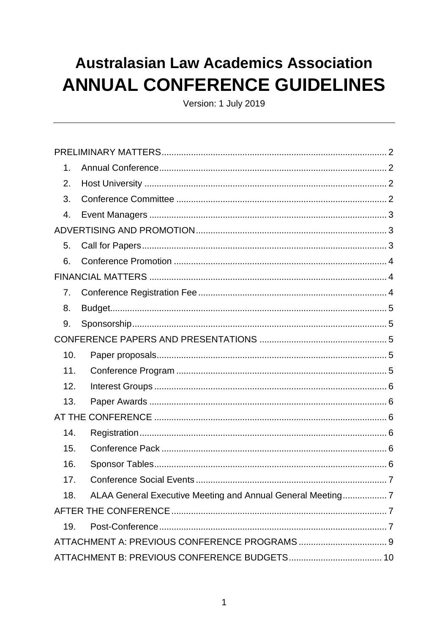# **Australasian Law Academics Association ANNUAL CONFERENCE GUIDELINES**

Version: 1 July 2019

| 1.               |                                                             |
|------------------|-------------------------------------------------------------|
| 2.               |                                                             |
| 3.               |                                                             |
| $\overline{4}$ . |                                                             |
|                  |                                                             |
| 5.               |                                                             |
| 6.               |                                                             |
|                  |                                                             |
| 7.               |                                                             |
| 8.               |                                                             |
| 9.               |                                                             |
|                  |                                                             |
| 10.              |                                                             |
| 11.              |                                                             |
| 12.              |                                                             |
| 13.              |                                                             |
|                  |                                                             |
| 14.              |                                                             |
| 15.              |                                                             |
| 16.              |                                                             |
| 17.              | Conference Social Events<br>. 7                             |
| 18.              | ALAA General Executive Meeting and Annual General Meeting 7 |
|                  |                                                             |
| 19.              |                                                             |
|                  |                                                             |
|                  |                                                             |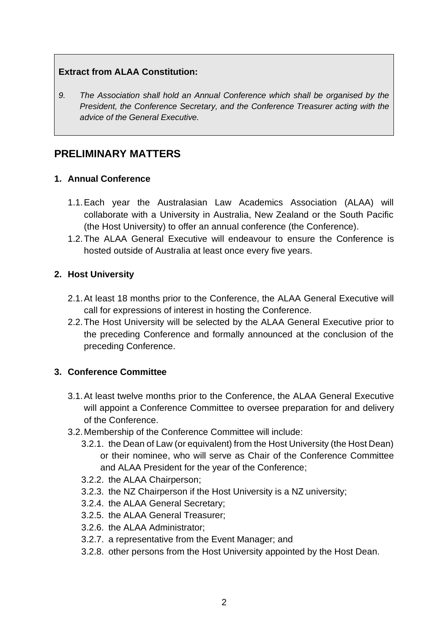#### **Extract from ALAA Constitution:**

*9. The Association shall hold an Annual Conference which shall be organised by the President, the Conference Secretary, and the Conference Treasurer acting with the advice of the General Executive.*

# **PRELIMINARY MATTERS**

## **1. Annual Conference**

- 1.1.Each year the Australasian Law Academics Association (ALAA) will collaborate with a University in Australia, New Zealand or the South Pacific (the Host University) to offer an annual conference (the Conference).
- 1.2.The ALAA General Executive will endeavour to ensure the Conference is hosted outside of Australia at least once every five years.

### **2. Host University**

- 2.1.At least 18 months prior to the Conference, the ALAA General Executive will call for expressions of interest in hosting the Conference.
- 2.2.The Host University will be selected by the ALAA General Executive prior to the preceding Conference and formally announced at the conclusion of the preceding Conference.

#### **3. Conference Committee**

- 3.1.At least twelve months prior to the Conference, the ALAA General Executive will appoint a Conference Committee to oversee preparation for and delivery of the Conference.
- 3.2.Membership of the Conference Committee will include:
	- 3.2.1. the Dean of Law (or equivalent) from the Host University (the Host Dean) or their nominee, who will serve as Chair of the Conference Committee and ALAA President for the year of the Conference;
	- 3.2.2. the ALAA Chairperson;
	- 3.2.3. the NZ Chairperson if the Host University is a NZ university;
	- 3.2.4. the ALAA General Secretary;
	- 3.2.5. the ALAA General Treasurer;
	- 3.2.6. the ALAA Administrator;
	- 3.2.7. a representative from the Event Manager; and
	- 3.2.8. other persons from the Host University appointed by the Host Dean.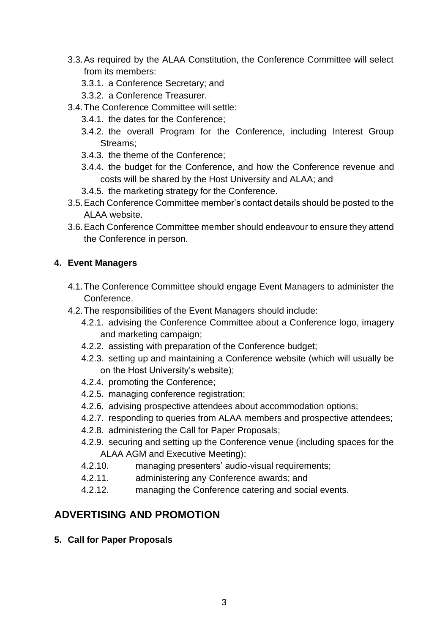- 3.3.As required by the ALAA Constitution, the Conference Committee will select from its members:
	- 3.3.1. a Conference Secretary; and
	- 3.3.2. a Conference Treasurer.
- 3.4.The Conference Committee will settle:
	- 3.4.1. the dates for the Conference;
	- 3.4.2. the overall Program for the Conference, including Interest Group Streams;
	- 3.4.3. the theme of the Conference;
	- 3.4.4. the budget for the Conference, and how the Conference revenue and costs will be shared by the Host University and ALAA; and
	- 3.4.5. the marketing strategy for the Conference.
- 3.5.Each Conference Committee member's contact details should be posted to the ALAA website.
- 3.6.Each Conference Committee member should endeavour to ensure they attend the Conference in person.

### **4. Event Managers**

- 4.1.The Conference Committee should engage Event Managers to administer the Conference.
- 4.2.The responsibilities of the Event Managers should include:
	- 4.2.1. advising the Conference Committee about a Conference logo, imagery and marketing campaign;
	- 4.2.2. assisting with preparation of the Conference budget;
	- 4.2.3. setting up and maintaining a Conference website (which will usually be on the Host University's website);
	- 4.2.4. promoting the Conference;
	- 4.2.5. managing conference registration;
	- 4.2.6. advising prospective attendees about accommodation options;
	- 4.2.7. responding to queries from ALAA members and prospective attendees;
	- 4.2.8. administering the Call for Paper Proposals;
	- 4.2.9. securing and setting up the Conference venue (including spaces for the ALAA AGM and Executive Meeting);
	- 4.2.10. managing presenters' audio-visual requirements;
	- 4.2.11. administering any Conference awards; and
	- 4.2.12. managing the Conference catering and social events.

# **ADVERTISING AND PROMOTION**

**5. Call for Paper Proposals**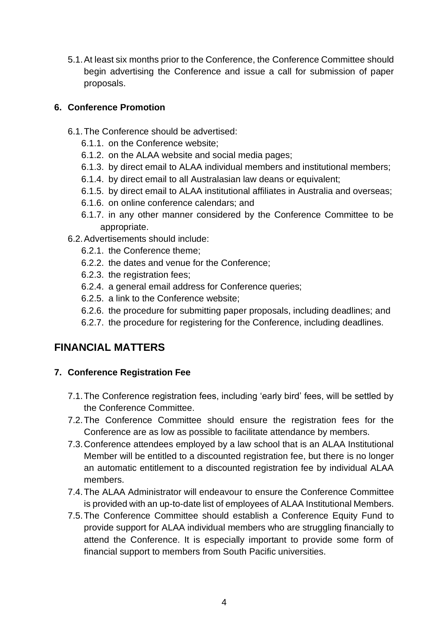5.1.At least six months prior to the Conference, the Conference Committee should begin advertising the Conference and issue a call for submission of paper proposals.

### **6. Conference Promotion**

- 6.1.The Conference should be advertised:
	- 6.1.1. on the Conference website;
	- 6.1.2. on the ALAA website and social media pages;
	- 6.1.3. by direct email to ALAA individual members and institutional members;
	- 6.1.4. by direct email to all Australasian law deans or equivalent;
	- 6.1.5. by direct email to ALAA institutional affiliates in Australia and overseas;
	- 6.1.6. on online conference calendars; and
	- 6.1.7. in any other manner considered by the Conference Committee to be appropriate.
- 6.2.Advertisements should include:
	- 6.2.1. the Conference theme;
	- 6.2.2. the dates and venue for the Conference;
	- 6.2.3. the registration fees;
	- 6.2.4. a general email address for Conference queries;
	- 6.2.5. a link to the Conference website;
	- 6.2.6. the procedure for submitting paper proposals, including deadlines; and
	- 6.2.7. the procedure for registering for the Conference, including deadlines.

# **FINANCIAL MATTERS**

## **7. Conference Registration Fee**

- 7.1.The Conference registration fees, including 'early bird' fees, will be settled by the Conference Committee.
- 7.2.The Conference Committee should ensure the registration fees for the Conference are as low as possible to facilitate attendance by members.
- 7.3.Conference attendees employed by a law school that is an ALAA Institutional Member will be entitled to a discounted registration fee, but there is no longer an automatic entitlement to a discounted registration fee by individual ALAA members.
- 7.4.The ALAA Administrator will endeavour to ensure the Conference Committee is provided with an up-to-date list of employees of ALAA Institutional Members.
- 7.5.The Conference Committee should establish a Conference Equity Fund to provide support for ALAA individual members who are struggling financially to attend the Conference. It is especially important to provide some form of financial support to members from South Pacific universities.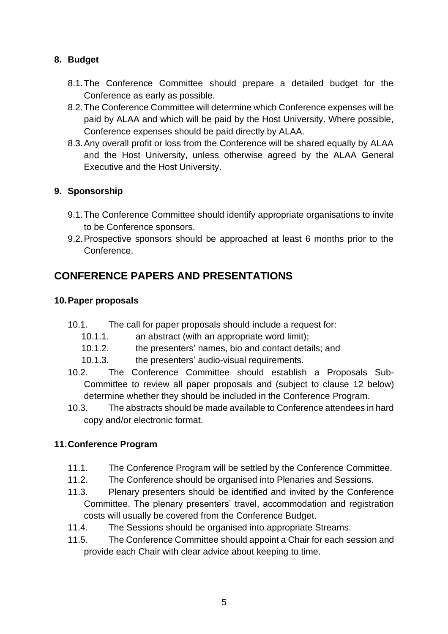## **8. Budget**

- 8.1.The Conference Committee should prepare a detailed budget for the Conference as early as possible.
- 8.2.The Conference Committee will determine which Conference expenses will be paid by ALAA and which will be paid by the Host University. Where possible, Conference expenses should be paid directly by ALAA.
- 8.3.Any overall profit or loss from the Conference will be shared equally by ALAA and the Host University, unless otherwise agreed by the ALAA General Executive and the Host University.

## **9. Sponsorship**

- 9.1.The Conference Committee should identify appropriate organisations to invite to be Conference sponsors.
- 9.2.Prospective sponsors should be approached at least 6 months prior to the Conference.

# **CONFERENCE PAPERS AND PRESENTATIONS**

### **10.Paper proposals**

- 10.1. The call for paper proposals should include a request for:
	- 10.1.1. an abstract (with an appropriate word limit);
	- 10.1.2. the presenters' names, bio and contact details; and
	- 10.1.3. the presenters' audio-visual requirements.
- 10.2. The Conference Committee should establish a Proposals Sub-Committee to review all paper proposals and (subject to clause 12 below) determine whether they should be included in the Conference Program.
- 10.3. The abstracts should be made available to Conference attendees in hard copy and/or electronic format.

## **11.Conference Program**

- 11.1. The Conference Program will be settled by the Conference Committee.
- 11.2. The Conference should be organised into Plenaries and Sessions.
- 11.3. Plenary presenters should be identified and invited by the Conference Committee. The plenary presenters' travel, accommodation and registration costs will usually be covered from the Conference Budget.
- 11.4. The Sessions should be organised into appropriate Streams.
- 11.5. The Conference Committee should appoint a Chair for each session and provide each Chair with clear advice about keeping to time.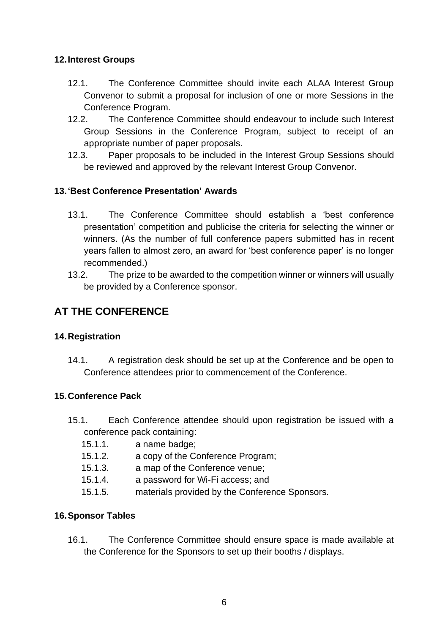### **12.Interest Groups**

- 12.1. The Conference Committee should invite each ALAA Interest Group Convenor to submit a proposal for inclusion of one or more Sessions in the Conference Program.
- 12.2. The Conference Committee should endeavour to include such Interest Group Sessions in the Conference Program, subject to receipt of an appropriate number of paper proposals.
- 12.3. Paper proposals to be included in the Interest Group Sessions should be reviewed and approved by the relevant Interest Group Convenor.

### **13.'Best Conference Presentation' Awards**

- 13.1. The Conference Committee should establish a 'best conference presentation' competition and publicise the criteria for selecting the winner or winners. (As the number of full conference papers submitted has in recent years fallen to almost zero, an award for 'best conference paper' is no longer recommended.)
- 13.2. The prize to be awarded to the competition winner or winners will usually be provided by a Conference sponsor.

# **AT THE CONFERENCE**

#### **14.Registration**

14.1. A registration desk should be set up at the Conference and be open to Conference attendees prior to commencement of the Conference.

## **15.Conference Pack**

- 15.1. Each Conference attendee should upon registration be issued with a conference pack containing:
	- 15.1.1. a name badge;
	- 15.1.2. a copy of the Conference Program;
	- 15.1.3. a map of the Conference venue;
	- 15.1.4. a password for Wi-Fi access; and
	- 15.1.5. materials provided by the Conference Sponsors.

## **16.Sponsor Tables**

16.1. The Conference Committee should ensure space is made available at the Conference for the Sponsors to set up their booths / displays.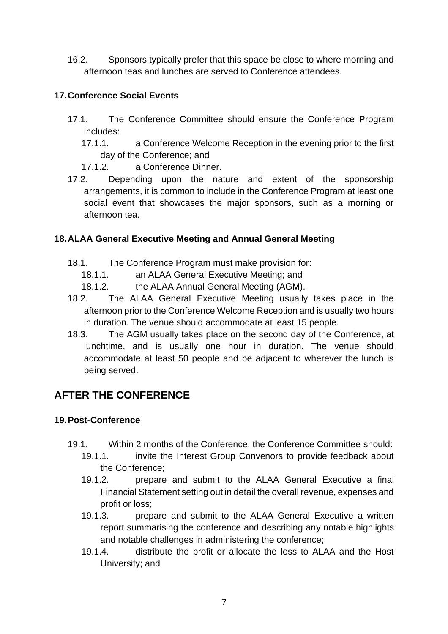16.2. Sponsors typically prefer that this space be close to where morning and afternoon teas and lunches are served to Conference attendees.

## **17.Conference Social Events**

- 17.1. The Conference Committee should ensure the Conference Program includes:
	- 17.1.1. a Conference Welcome Reception in the evening prior to the first day of the Conference; and
	- 17.1.2. a Conference Dinner.
- 17.2. Depending upon the nature and extent of the sponsorship arrangements, it is common to include in the Conference Program at least one social event that showcases the major sponsors, such as a morning or afternoon tea.

### **18.ALAA General Executive Meeting and Annual General Meeting**

- 18.1. The Conference Program must make provision for:
	- 18.1.1. an ALAA General Executive Meeting; and
	- 18.1.2. the ALAA Annual General Meeting (AGM).
- 18.2. The ALAA General Executive Meeting usually takes place in the afternoon prior to the Conference Welcome Reception and is usually two hours in duration. The venue should accommodate at least 15 people.
- 18.3. The AGM usually takes place on the second day of the Conference, at lunchtime, and is usually one hour in duration. The venue should accommodate at least 50 people and be adjacent to wherever the lunch is being served.

# **AFTER THE CONFERENCE**

## **19.Post-Conference**

- 19.1. Within 2 months of the Conference, the Conference Committee should:
	- 19.1.1. invite the Interest Group Convenors to provide feedback about the Conference;
	- 19.1.2. prepare and submit to the ALAA General Executive a final Financial Statement setting out in detail the overall revenue, expenses and profit or loss;
	- 19.1.3. prepare and submit to the ALAA General Executive a written report summarising the conference and describing any notable highlights and notable challenges in administering the conference;
	- 19.1.4. distribute the profit or allocate the loss to ALAA and the Host University; and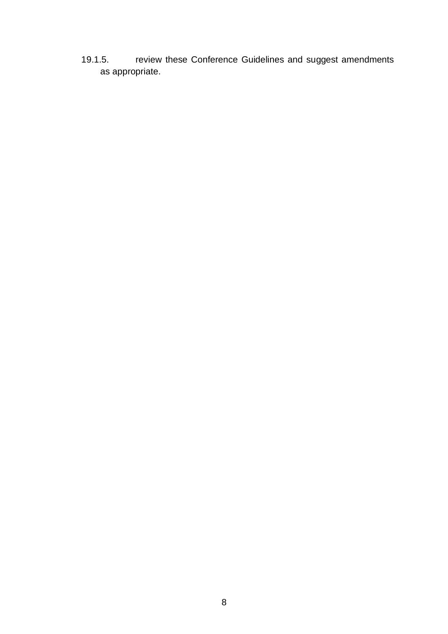19.1.5. review these Conference Guidelines and suggest amendments as appropriate.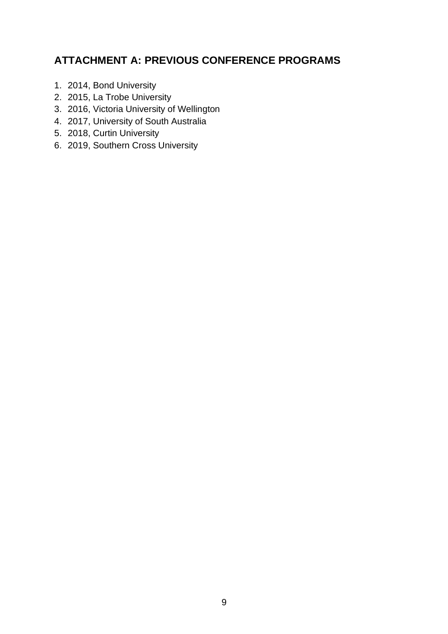# **ATTACHMENT A: PREVIOUS CONFERENCE PROGRAMS**

- 1. 2014, Bond University
- 2. 2015, La Trobe University
- 3. 2016, Victoria University of Wellington
- 4. 2017, University of South Australia
- 5. 2018, Curtin University
- 6. 2019, Southern Cross University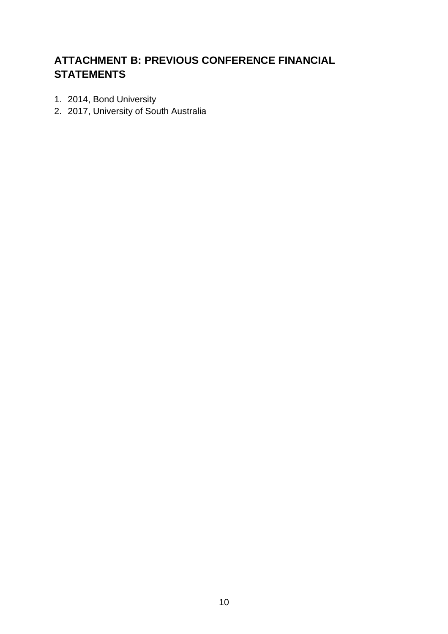# **ATTACHMENT B: PREVIOUS CONFERENCE FINANCIAL STATEMENTS**

- 1. 2014, Bond University
- 2. 2017, University of South Australia